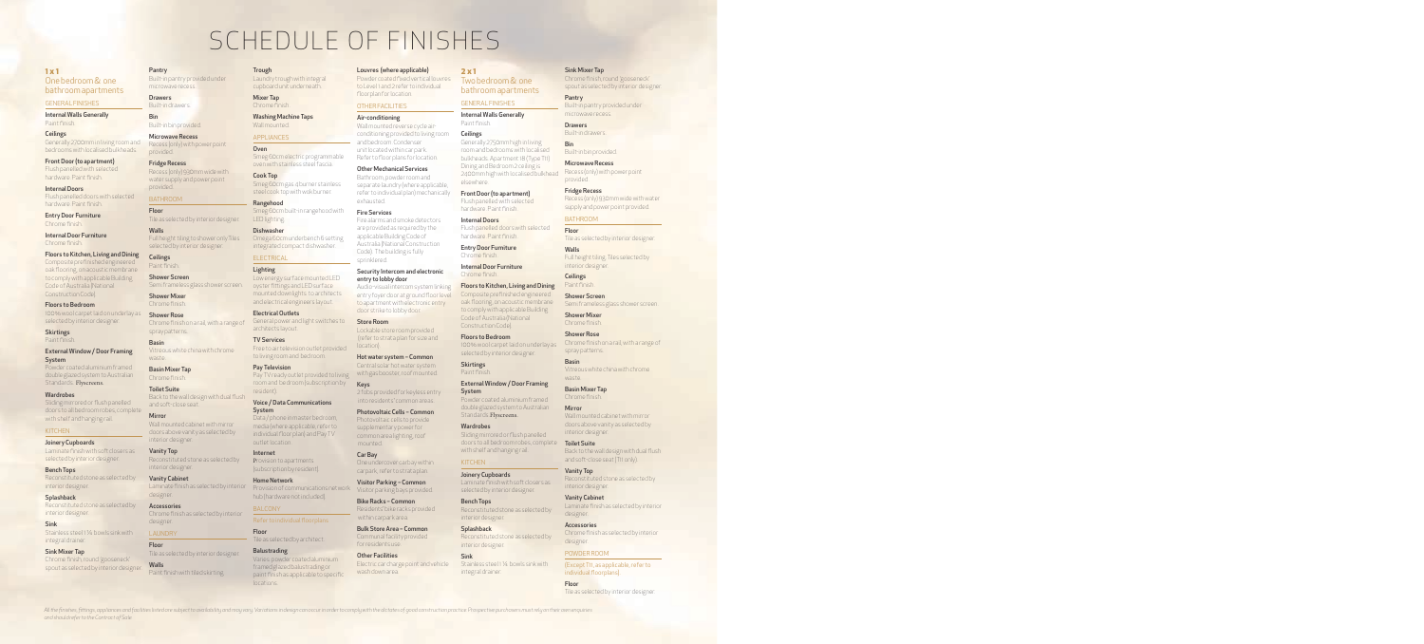# SCHEDULE OF FINISHES

## **1 x 1**

One bedroom & one bathroom apartments

GENERAL FINISHES

Internal Walls Generally Paint finish.

**Ceilings** Generally 2700mm in living room and bedrooms with localised bulkheads.

Front Door (to apartment) Flush panelled with selected hardware. Paint finish.

Internal Doors Flush panelled doors with selected hardware. Paint finish.

Entry Door Furniture Chrome finish.

Internal Door Furniture Chrome finish.

Floors to Kitchen, Living and Dining

Composite prefinished engineered oak flooring, on acoustic membrane to comply with applicable Building Code of Australia (National ConstructionCode).

Floors to Bedroom 100% wool carpet laid on underlay as selected by interior designer.

**Skirtings** Paint finish.

External Window / Door Framing **System** 

Powder coated aluminium framed double glazed system to Australian Standards. Flyscreens.

**Wardrobes** Sliding mirrored or flush panelled doors to all bedroom robes, complete with shelf and hanging rail.

#### **KITCHEN**

Joinery Cupboards Laminate finish with soft closers as selected by interior designer.

Bench Tops Reconstituted stone as selected by

interior designer. **Splashback** Reconstituted stone as selected by

interior designer.

Sink Stainless steel 1 1/4 bowls sink with integral drainer.

Sink Mixer Tap Chrome finish, round 'gooseneck' spout as selected by interior designer.

*and should refer to the Contract of Sale.*

Pantry Built-in pantry provided under microwave recess.

Built-in drawers. Bin

Drawers

Built-in bin provided. Microwave Recess

Recess (only) with power point provided.

Fridge Recess Recess (only) 930mm wide with water supply and power point provided.

# BATHROOM

**Ceilings** 

Floor Tile as selected by interior designer.

Walls Full height tiling to shower only.Tiles selected by interior designer.

Paint finish. Shower Screen Semi frameless glass shower screen.

Shower Mixer Chrome finish.

Shower Rose Chrome finish on a rail, with a range of spray patterns.

Basin Vitreous white china with chrome waste.

Basin Mixer Tap Chrome finish. Toilet Suite Back to the wall design with dual flush

and soft-close seat. Mirror

## Wall mounted cabinet with mirror doors above vanity as selected by interior designer.

Vanity Top Reconstituted stone as selected by interior designer.

Vanity Cabinet Laminate finish as selected by interior designer.

Accessories Chrome finish as selected by interior designer.

LAUNDRY Floor Tile as selected by interior designer. Walls Paint finish with tiled skirting.

#### Trough

Laundry trough with integral cupboard unit underneath.

Chrome finish. Washing Machine Taps

Wall mounted.

## APPLIANCES Oven

Mixer Tap

Smeg 60cm electric programmable oven with stainless steel fascia.

Cook Top Smeg 60cm gas 4 burner stainless steel cook top with wok burner.

Rangehood Smeg 60cm built-in rangehood with LED lighting.

Dishwasher Omega 60cm underbench 6 setting integrated compact dishwasher.

# **ELECTRICAL**

**Lighting** Low energy surface mounted LED oyster fittings and LED surface mounted downlights to architects

and electrical engineers layout. Electrical Outlets General power and light switches to architects layout.

TV Services Free to air television outlet provided to living room and bedroom.

> Pay Television Pay TV ready outlet provided to living room and bedroom (subscription by resident).

Voice / Data Communications System Data / phone in master bedroom,

outlet location.

media (where applicable, refer to individual floor plan) and Pay TV

Internet Provision to apartments (subscription by resident).

**Home Network** Provision of communications network hub (hardware not included).

BALCONY

Floor Tile as selected by architect. Balustrading

Varies: powder coated aluminium framed glazed balustrading or paint finish as applicable to specific locations.

All the finishes, fittings, appliances and facilities listed are subject to availability and may vary. Variations in design can occur in order to comply with the dictates of good construction practice. Prospective purchase

#### Louvres (where applicable)

Powder coated fixed vertical louvres to Level 1 and 2 refer to individual floorplan for location.

# OTHER FACILITIES

Air-conditioning Wall mounted reverse cycle airconditioning provided to living room and bedroom. Condenser unit located within car park. Refer to floor plans for location.

#### Other Mechanical Services

Bathroom, powder room and separate laundry (where applicable, refer to individual plan) mechanically exhausted.

### Fire Services

Fire alarms and smoke detectors are provided as required by the applicable Building Code of Australia (National Construction Code). The building is fully sprinklered.

#### Security Intercom and electronic entry to lobby door

Audio-visual intercom system linking entry foyer door at ground floor level to apartment with electronic entry door strike to lobby door.

#### Store Room Lockable store room provided

 (refer to strata plan for size and location). Hot water system – Common

Central solar hot water system with gas booster, roof mounted.

Keys 2 fobs provided for keyless entry into residents' common areas.

Photovoltaic Cells – Common Photovoltaic cells to provide supplementary power for

common area lighting, roof mounted. Car Bay

One undercover carbay within carpark, refer to strata plan.

Visitor Parking – Common Visitor parking bays provided.

Bike Racks – Common Residents' bike racks provided within carpark area.

Bulk Store Area – Common Communal facility provided for residents use.

Other Facilities Electric car charge point and vehicle wash down area.

#### **2 x 1**

Two bedroom & one bathroom apartments

## GENERAL FINISHES Internal Walls Generally Paint finish.

Ceilings Generally 2750mm high in living room and bedrooms with localised bulkheads. Apartment 18 (Type T11) Dining and Bedroom 2 ceiling is 2400mm high with localised bulkhead elsewhere.

#### Front Door (to apartment)

Sink Mixer Tap

microwave recess.

Built-in bin provided. Microwave Recess

Pantry

Drawers Built-in drawers.

provided. Fridge Recess

BATHROOM Floor

interior designer. **Ceilings** Paint finish. Shower Screen

Shower Mixer Chrome finish. Shower Rose

spray patterns.

Basin Mixer Tap Chrome finish. **Mirror** 

interior designer. Toilet Suite

Vanity Top

designer. Accessories

designer. POWDER ROOM

Floor

interior designer. Vanity Cabinet

Basin

waste.

Walls

Bin

Chrome finish, round 'gooseneck' spout as selected by interior designer.

Built-in pantry provided under

Recess (only) with power point

Recess (only) 930mm wide with water supply and power point provided.

Tile as selected by interior designer.

Full height tiling. Tiles selected by

Semi frameless glass shower screen.

Chrome finish on a rail, with a range of

Vitreous white china with chrome

Wall mounted cabinet with mirror doors above vanity as selected by

Back to the wall design with dual flush and soft-close seat (T11 only).

Reconstituted stone as selected by

Laminate finish as selected by interior

Chrome finish as selected by interior

(Except T11, as applicable, refer to

Tile as selected by interior designer.

individual floorplans).

Flush panelled with selected hardware. Paint finish.

Internal Doors Flush panelled doors with selected hardware. Paint finish.

Entry Door Furniture Chrome finish.

Internal Door Furniture Chrome finish.

**Skirtings** 

**KITCHEN** 

**Splashback** 

Sink

interior designer.

integral drainer.

Floors to Kitchen, Living and Dining Composite prefinished engineered oak flooring, on acoustic membrane to comply with applicable Building Code of Australia (National ConstructionCode).

Floors to Bedroom 100% wool carpet laid on underlay as selected by interior designer.

Paint finish. External Window / Door Framing System Powder coated aluminium framed

double glazed system to Australian Standards. Flyscreens.

**Wardrobes** Sliding mirrored or flush panelled doors to all bedroom robes, complete with shelf and hanging rail.

Joinery Cupboards Laminate finish with soft closers as selected by interior designer.

Bench Tops Reconstituted stone as selected by interior designer.

Reconstituted stone as selected by

Stainless steel 1 1/4 bowls sink with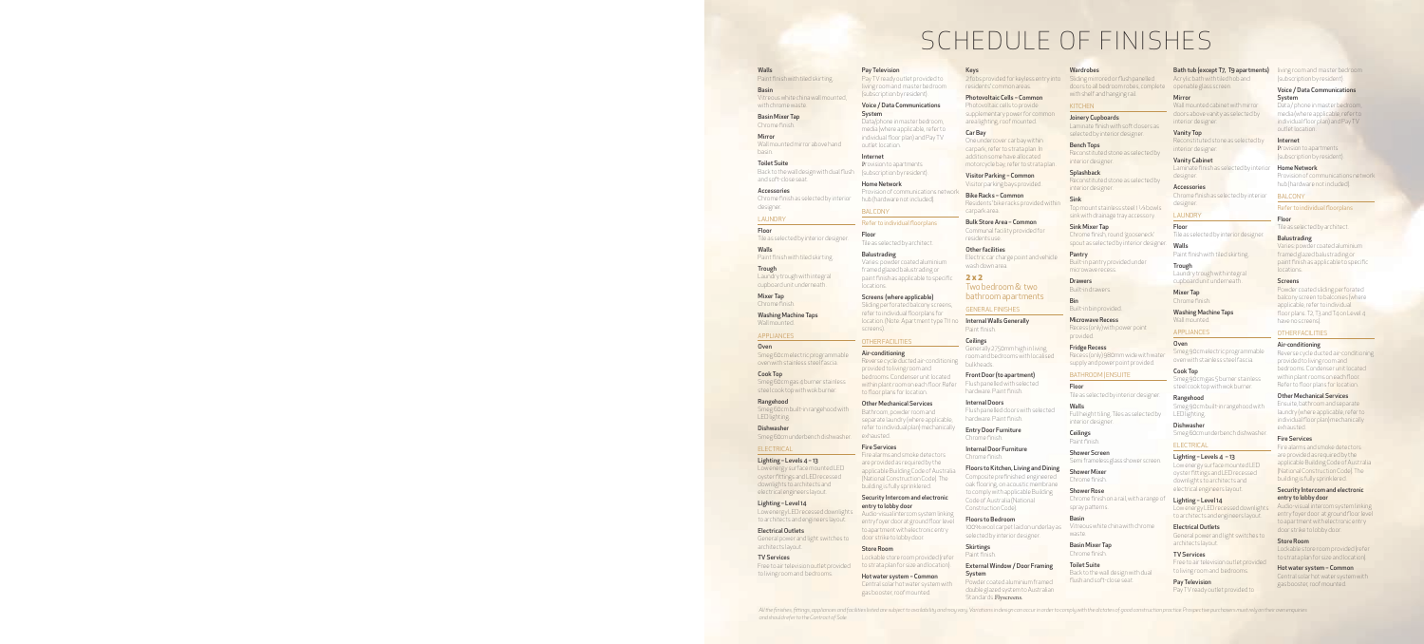# SCHEDULE OF FINISHES

Walls Paint finish with tiled skirting.

Basin Vitreous white china wall mounted, with chrome waste.

Basin Mixer Tap Chrome finish.

Mirror Wall mounted mirror above hand basin.

Toilet Suite Back to the wall design with dual flush and soft-close seat.

Accessories Chrome finish as selected by interior designer.

#### LAUNDRY

Floor Tile as selected by interior designer.

Walls Paint finish with tiled skirting.

**Trough** Laundry trough with integral cupboard unit underneath .

Mixer Tap Chrome finish.

Washing Machine Taps Wall mounted.

#### APPLIANCES

Oven Smeg 60cm electric programmable oven with stainless steel fascia.

Cook Top Smeg 60cm gas 4 burner stainless steel cook top with wok burner.

Rangehood Smeg 60cm built-in rangehood with LED lighting.

Dishwasher Smeg 60cm underbench dishwasher.

#### **ELECTRICAL**

Lighting – Levels 4 – 13

Low energy surface mounted LED oyster fittings and LED recessed downlights to architects and electrical engineers layout.

Lighting – Level 14 Low energy LED recessed downlights to architects and engineers layout.

Electrical Outlets

General power and light switches to architects layout.

#### TV Services

Free to air television outlet provided to living room and bedrooms.

*and should refer to the Contract of Sale.*

#### Pay Television

Pay TV ready outlet provided to living room and master bedroom (subscription by resident).

#### Voice / Data Communications System

Data/phone in master bedroom, media (where applicable, refer to individual floor plan) and Pay TV outlet location.

Internet Provision to apartments (subscription by resident).

**Home Network** Provision of communications network hub (hardware not included).

## BALCONY

#### Refer to individual floorplans

Floor Tile as selected by architect.

Balustrading Varies: powder coated aluminium framed glazed balustrading or paint finish as applicable to specific locations.

Screens (where applicable) Sliding perforated balcony screens,

refer to individual floorplans for location. (Note: Apartment type T11 no screens).

## OTHER FACILITIES

Air-conditioning Reverse cycle ducted air-conditioning

#### provided to living room and bedrooms. Condenser unit located within plant room on each floor. Refer to floor plans for location.

Other Mechanical Services Bathroom, powder room and separate laundry (where applicable, refer to individual plan) mechanically

## exhausted. Fire Services

Fire alarms and smoke detectors are provided as required by the applicable Building Code of Australia (National Construction Code). The building is fully sprinklered.

Security Intercom and electronic entry to lobby door

Audio-visual intercom system linking entry foyer door at ground floor level to apartment with electronic entry door strike to lobby door.

## Store Room Lockable store room provided (refer

to strata plan for size and location). Hot water system – Common Central solar hot water system with

gas booster, roof mounted.

Keys

2 fobs provided for keyless entry into residents' common areas.

Photovoltaic Cells – Common Photovoltaic cells to provide supplementary power for common area lighting, roof mounted.

Car Bay One undercover car bay within carpark, refer to strata plan. In addition some have allocated motorcycle bay, refer to strata plan.

Visitor Parking – Common Visitor parking bays provided.

Bike Racks – Common Residents' bike racks provided within carpark area.

Bulk Store Area – Common Communal facility provided for residents use.

Other facilities Electric car charge point and vehicle wash down area.

**2 x 2** Two bedroom & two bathroom apartments

GENERAL FINISHES

Internal Walls Generally Paint finish.

**Ceilings** Generally 2750mm high in living room and bedrooms with localised bulkheads.

Front Door (to apartment) Flush panelled with selected hardware. Paint finish.

Internal Doors Flush panelled doors with selected hardware. Paint finish.

Entry Door Furniture Chrome finish.

Internal Door Furniture Chrome finish.

Floors to Kitchen, Living and Dining Composite prefinished engineered oak flooring, on acoustic membrane to comply with applicable Building Code of Australia (National ConstructionCode).

Floors to Bedroom 100% wool carpet laid on underlay as selected by interior designer.

Skirtings Paint finish.

## External Window / Door Framing System

Powder coated aluminium framed double glazed system to Australian Standards.Flyscreens.

All the finishes, fittings, appliances and facilities listed are subject to availability and may vary. Variations in design can occur in order to comply with the dictates of good construction practice. Prospective purchase

#### **Wardrobes**

Sliding mirrored or flush panelled doors to all bedroom robes, complete with shelf and hanging rail.

## **KITCHEN**

Joinery Cupboards Laminate finish with soft closers as

## selected by interior designer. Bench Tops Reconstituted stone as selected by

interior designer. **Splashback** Reconstituted stone as selected by

interior designer. Sink Top mount stainless steel 1 1⁄3 bowls

sink with drainage tray accessory. Sink Mixer Tap Chrome finish, round 'gooseneck'

spout as selected by interior designer. Pantry Built-in pantry provided under

microwave recess. Drawers

Bin Built-in bin provided.

Built-in drawers.

Microwave Recess Recess (only) with power point

provided. Fridge Recess Recess (only) 980mm wide with water supply and power point provided.

## **BATHROOM | ENSUITE**

Floor Tile as selected by interior designer. Walls Full height tiling. Tiles as selected by interior designer.

Ceilings Paint finish. Shower Screen

> Semi frameless glass shower screen. Shower Mixer

Chrome finish. Shower Rose Chrome finish on a rail, with a range of spray patterns.

Basin Vitreous white china with chrome waste.

Basin Mixer Tap Chrome finish.

#### Toilet Suite Back to the wall design with dual flush and soft-close seat.

Bath tub (except T7, T9 apartments)

living room and master bedroom (subscription by resident). Voice / Data Communications

Data / phone in master bedroom. media (where applicable, refer to individual floor plan) and Pay TV

Provision of communications network hub (hardware not included).

Refer to individual floorplans

Tile as selected by architect.

Varies: powder coated aluminium framed glazed balustrading or paint finish as applicable to specific

Powder coated sliding perforated balcony screen to balconies (where applicable, refer to individual floor plans. T2, T3 and T4 on Level 4

Reverse cycle ducted air-conditioning provided to living room and bedrooms. Condenser unit located within plant rooms on each floor. Refer to floor plans for location. Other Mechanical Services Ensuite, bathroom and separate laundry (where applicable, refer to individual floor plan) mechanically

Fire alarms and smoke detectors are provided as required by the applicable Building Code of Australia (National Construction Code). The building is fully sprinklered. Security Intercom and electronic

Audio-visual intercom system linking entry foyer door at ground floor level to apartment with electronic entry door strike to lobby door.

Lockable store room provided (refer to strata plan for size and location). Hot water system – Common Central solar hot water system with gas booster, roof mounted.

System

outlet location. Internet

**Home Network** 

BALCONY

**Balustrading** 

locations. **Screens** 

have no screens). OTHER FACILITIES Air-conditioning

exhausted. Fire Services

entry to lobby door

Store Room

Floor

Provision to apartments (subscription by resident).

Acrylic bath with tiled hob and openable glass screen.

## **Mirror**

Wall mounted cabinet with mirror doors above vanity as selected by interior designer.

Vanity Top

Reconstituted stone as selected by interior designer.

Vanity Cabinet Laminate finish as selected by interior designer

Accessories Chrome finish as selected by interior designer.

## LAUNDRY Floor

**Trough** 

Mixer Tap Chrome finish.

Cook Top

Rangehood

LED lighting. Dishwasher

**ELECTRICAL** 

Lighting - Levels 4 - 13 Low energy surface mounted LED oyster fittings and LED recessed downlights to architects and electrical engineers layout. Lighting – Level 14

Electrical Outlets

architects layout. TV Services

Pay Television

Tile as selected by interior designer. Walls

Paint finish with tiled skirting.

Laundry trough with integral cupboard unit underneath .

Washing Machine Taps Wall mounted. APPLIANCES Oven

Smeg 90cm electric programmable oven with stainless steel fascia.

Smeg 90cm gas 5 burner stainless steel cook top with wok burner.

Smeg 90cm built-in rangehood with

Smeg 60cm underbench dishwasher.

Low energy LED recessed downlights to architects and engineers layout.

General power and light switches to

Free to air television outlet provided to living room and bedrooms.

Pay TV ready outlet provided to